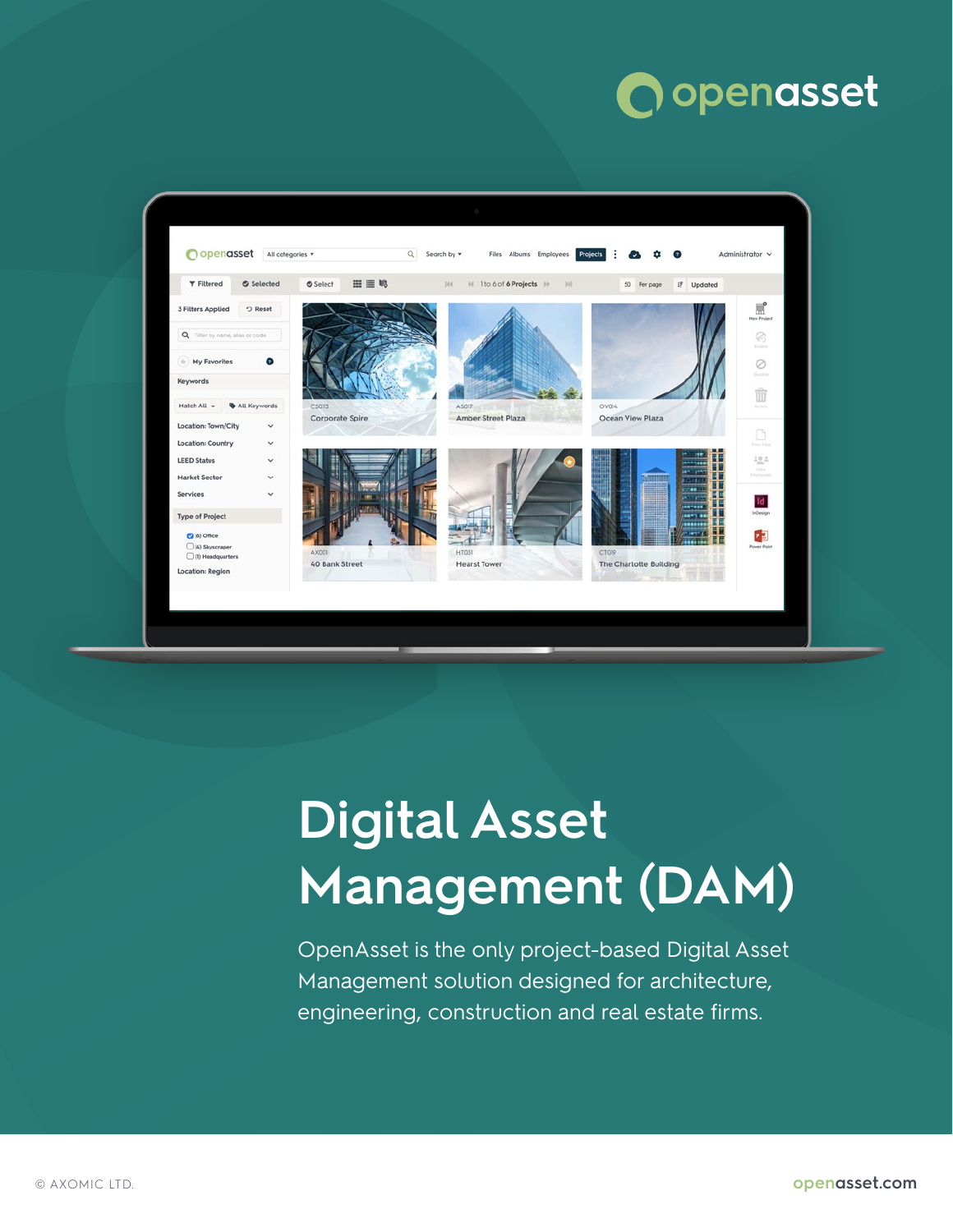# openasset



# **Digital Asset Management (DAM)**

OpenAsset is the only project-based Digital Asset Management solution designed for architecture, engineering, construction and real estate firms.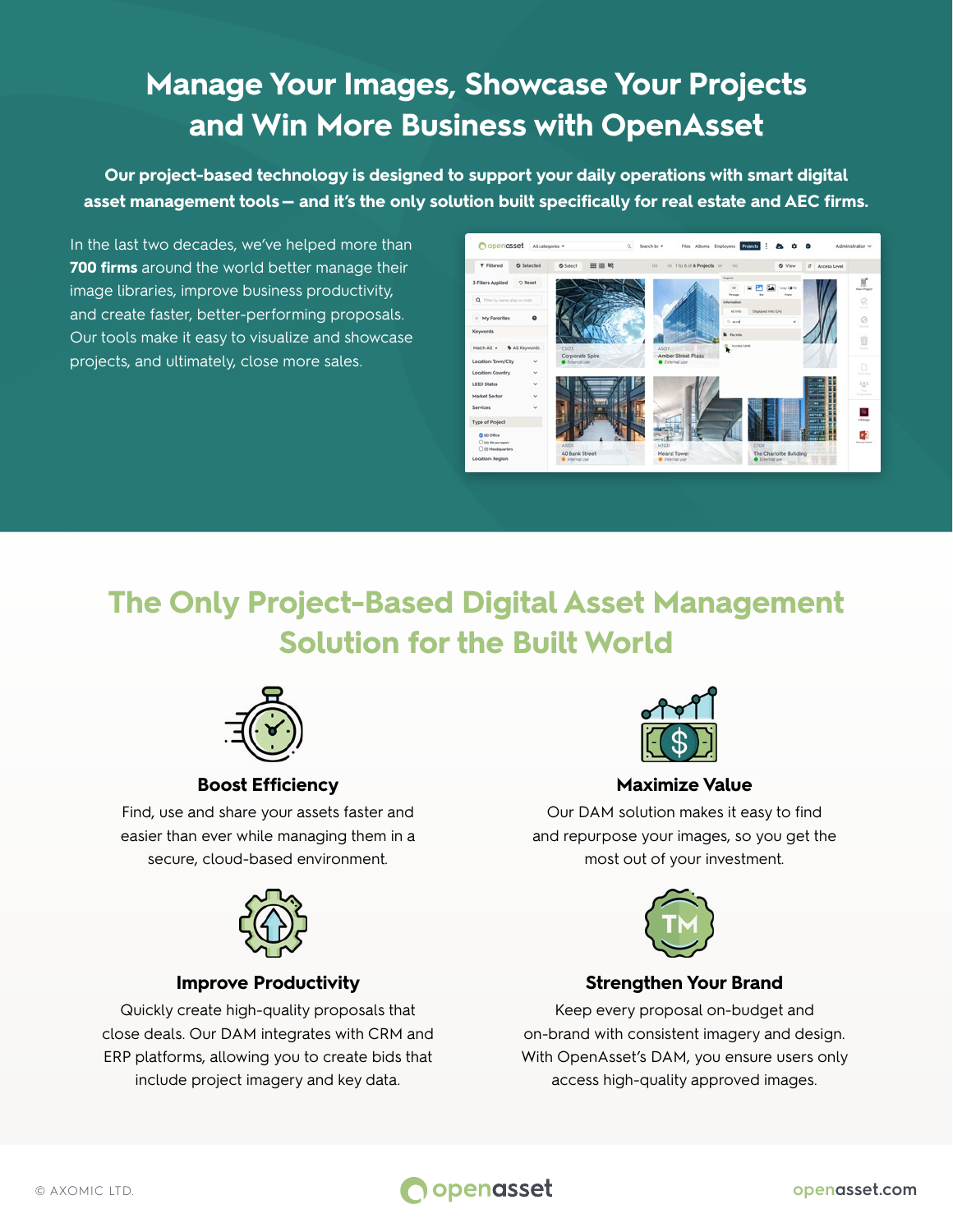# **Manage Your Images, Showcase Your Projects and Win More Business with OpenAsset**

**Our project-based technology is designed to support your daily operations with smart digital asset management tools — and it's the only solution built specifically for real estate and AEC firms.**

In the last two decades, we've helped more than **700 firms** around the world better manage their image libraries, improve business productivity, and create faster, better-performing proposals. Our tools make it easy to visualize and showcase projects, and ultimately, close more sales.



# **The Only Project-Based Digital Asset Management Solution for the Built World**



### **Boost Efficiency**

Find, use and share your assets faster and easier than ever while managing them in a secure, cloud-based environment.



### **Improve Productivity**

Quickly create high-quality proposals that close deals. Our DAM integrates with CRM and ERP platforms, allowing you to create bids that include project imagery and key data.



### **Maximize Value**

Our DAM solution makes it easy to find and repurpose your images, so you get the most out of your investment.



### **Strengthen Your Brand**

Keep every proposal on-budget and on-brand with consistent imagery and design. With OpenAsset's DAM, you ensure users only access high-quality approved images.

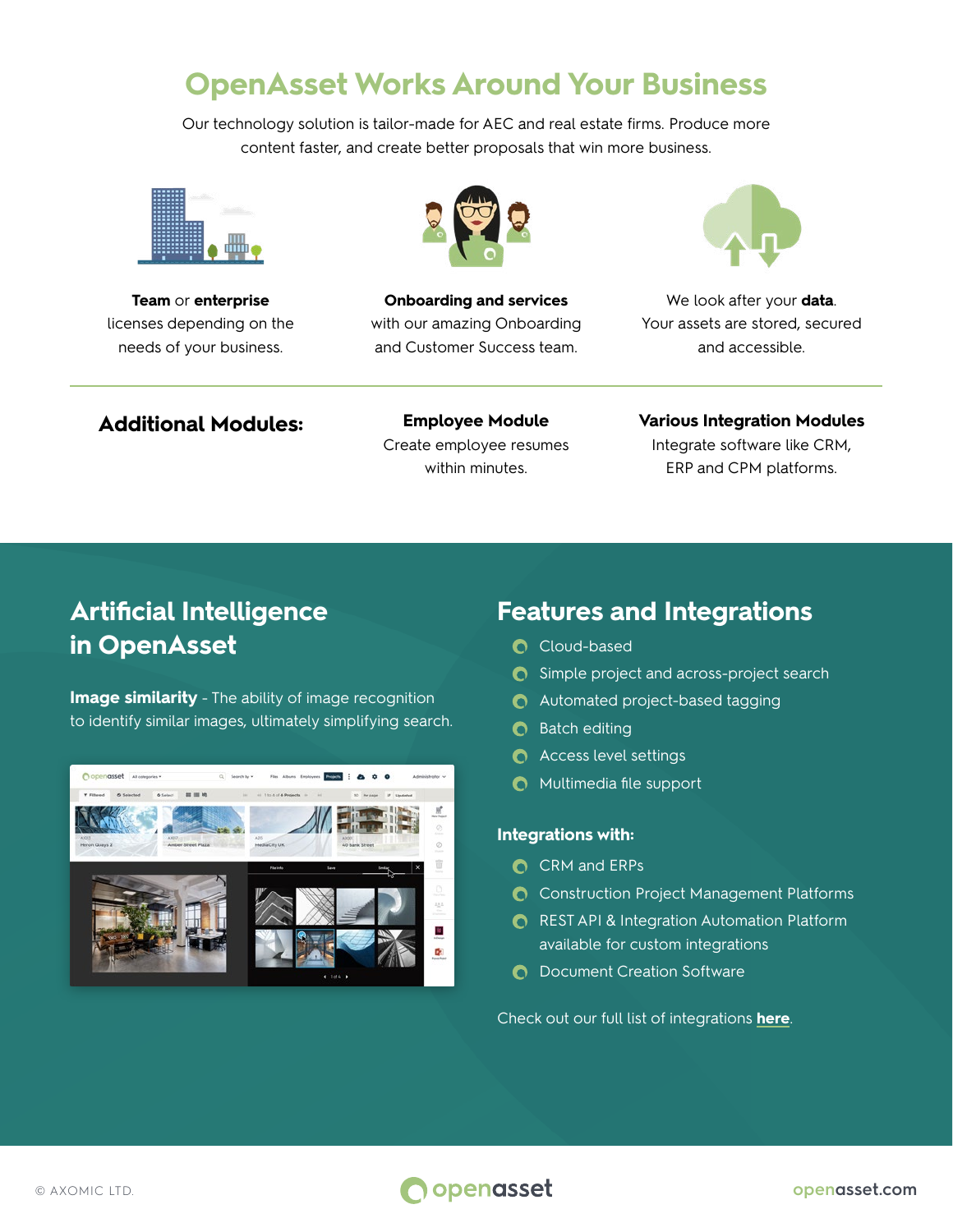# **OpenAsset Works Around Your Business**

Our technology solution is tailor-made for AEC and real estate firms. Produce more content faster, and create better proposals that win more business.



**Team** or **enterprise** licenses depending on the needs of your business.



**Onboarding and services** with our amazing Onboarding and Customer Success team.



We look after your **data**. Your assets are stored, secured and accessible.

### **Additional Modules: Employee Module**

Create employee resumes within minutes.

#### **Various Integration Modules**

Integrate software like CRM, ERP and CPM platforms.

## **Artificial Intelligence in OpenAsset**

**Image similarity** - The ability of image recognition to identify similar images, ultimately simplifying search.



### **Features and Integrations**

- Cloud-based
- **C** Simple project and across-project search
- **C** Automated project-based tagging
- $\bullet$  Batch editing
- **C** Access level settings
- **O** Multimedia file support

#### **Integrations with:**

- **C** CRM and ERPs
- **C** Construction Project Management Platforms
- **C** REST API & Integration Automation Platform available for custom integrations
- **O** Document Creation Software

Check out our full list of integrations **[here](https://openasset.com/integrations)**.